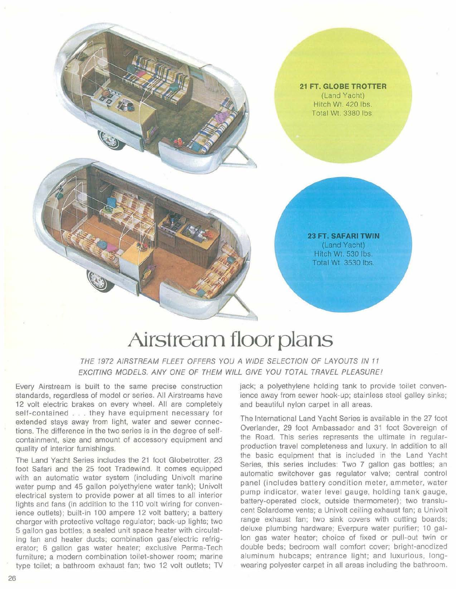

## **Airstream floor plans**

THE 1972 AIRSTREAM FLEET OFFERS YOU A WIDE SELECTION OF LAYOUTS IN 11 EXCITING MODELS. ANY ONE OF THEM WILL GIVE YOU TOTAL TRAVEL PLEASUREI

Every Airstream is built to the same precise construction standards, regardless of model or series. All Airstreams have 12 volt electric brakes on every wheel. All are completely self-contained ... they have equipment necessary for extended stays away from light, water and sewer connections. The difference in the two series is in the degree of selfcontainment, size and amount of accessory equipment and quality of interior furnishings.

The Land Yacht Series includes the 21 foot Globetrotter, 23 foot Safari and the 25 foot Tradewind. It comes equipped with an automatic water system (including Univolt marine water pump and 45 gallon polyethylene water tank); Univolt electrical system to provide power at all times to all interior lights and fans (in addition to the 110 volt wiring for convenience outlets); built-in 100 ampere 12 volt battery; a battery charger with protective voltage regulator; back-up lights; two 5 gallon gas bottles; a sealed unit space heater with circulating fan and heater ducts; combination gas/electric refrigerator; 6 gallon gas water heater; exclusive Perma-Tech furniture; a modern combination toilet-shower room; marine type toilet; a bathroom exhaust fan; two 12 volt outlets; TV jack; a polyethylene holding tank to provide toilet convenience away from sewer hook-up; stainless steel galley sinks; and beautiful nylon carpet in all areas.

The International Land Yacht Series is available in the 27 foot Overlander, 29 foot Ambassador and 31 foot Sovereign of the Road. This series represents the ultimate in regularproduction travel completeness and luxury. In addition to all the basic equipment that is included in the Land Yacht Series, this series includes: Two 7 gallon gas bottles; an automatic switchover gas regulator valve; central control panel (includes battery condition meter, ammeter, water pump indicator, water level gauge, holding tank gauge, battery-operated clock, outside thermometer); two translucent Solardome vents; a Univolt ceiling exhaust fan; a Univolt range exhaust fan; two sink covers with cutting boards; deluxe plumbing hardware; Everpure water purifier; 10 gal-Ion gas water heater; choice of fixed or pull-out twin or double beds; bedroom wall comfort cover; bright-anodized aluminum hubcaps; entrance light; and luxurious, longwearing polyester carpet in all areas including the bathroom.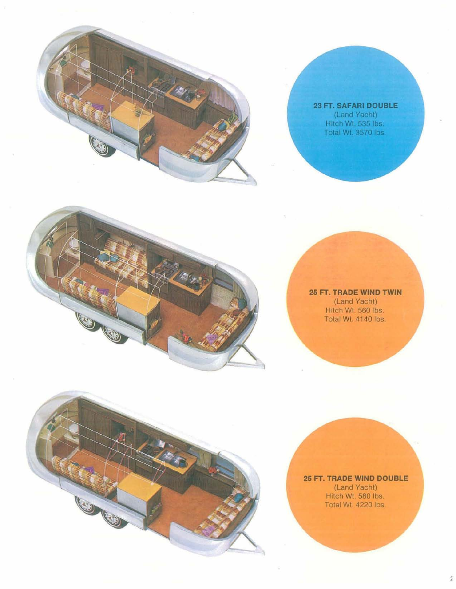

23 FT. SAFARI DOUBLE (Land Yacht) Hitch Wt. 535 lbs. Total Wt. 3570 lbs.



O

**25 FT. TRADE WIND TWIN** (Land Yacht) Hitch Wt. 560 Ibs. Total Wt. 4140 Ibs.

**25 FT. TRADE WIND DOUBLE** (Land Yacht) Hitch Wt. 580 Ibs. Total Wt. 4220 Ibs

Ź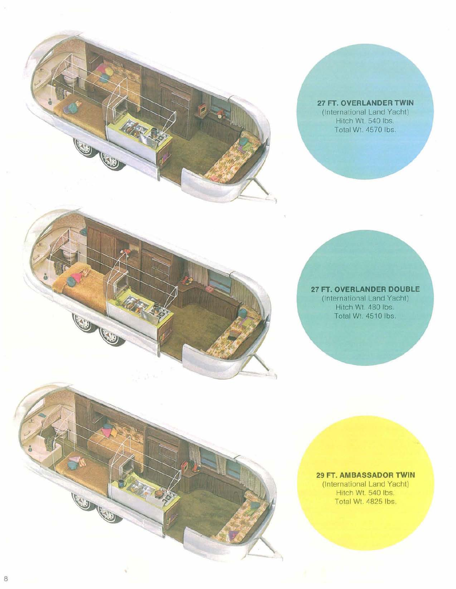

**CONCO** 

**CONTROLLS** 

**27 FT.** OVERLANDER **TWIN** (International Land Yacht) Hitch Wt. 540 Ibs. Total Wi 4570 Ibs.

**27 FT. OVERLANDER DOUBLE** (International Land Yacht) Hitch Wt. 480 lbs. Total Wt. 4510 lbs.

**29 FT. AMBASSADOR TWIN** (International Land Yacht) Hitch Wt. 540 lbs. Total Wt. 4825 Ibs.